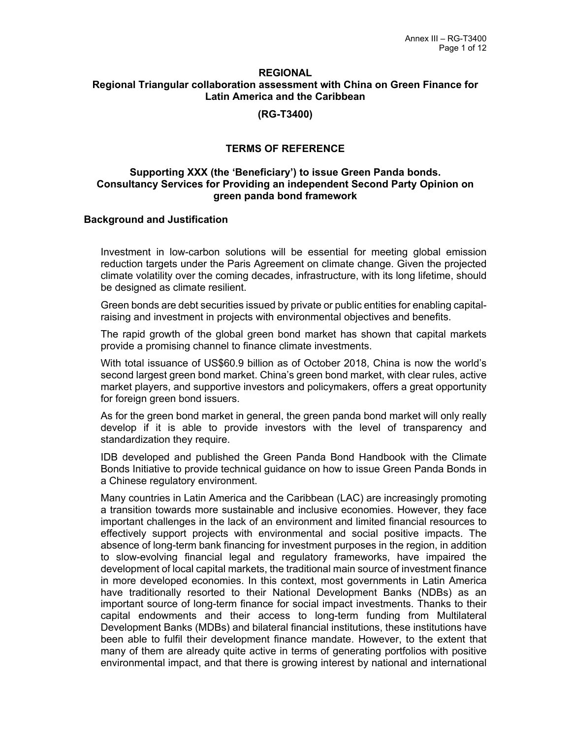#### **REGIONAL Regional Triangular collaboration assessment with China on Green Finance for Latin America and the Caribbean**

**(RG-T3400)**

## **TERMS OF REFERENCE**

## **Supporting XXX (the 'Beneficiary') to issue Green Panda bonds. Consultancy Services for Providing an independent Second Party Opinion on green panda bond framework**

## **Background and Justification**

Investment in low-carbon solutions will be essential for meeting global emission reduction targets under the Paris Agreement on climate change. Given the projected climate volatility over the coming decades, infrastructure, with its long lifetime, should be designed as climate resilient.

Green bonds are debt securities issued by private or public entities for enabling capitalraising and investment in projects with environmental objectives and benefits.

The rapid growth of the global green bond market has shown that capital markets provide a promising channel to finance climate investments.

With total issuance of US\$60.9 billion as of October 2018, China is now the world's second largest green bond market. China's green bond market, with clear rules, active market players, and supportive investors and policymakers, offers a great opportunity for foreign green bond issuers.

As for the green bond market in general, the green panda bond market will only really develop if it is able to provide investors with the level of transparency and standardization they require.

IDB developed and published the Green Panda Bond Handbook with the Climate Bonds Initiative to provide technical guidance on how to issue Green Panda Bonds in a Chinese regulatory environment.

Many countries in Latin America and the Caribbean (LAC) are increasingly promoting a transition towards more sustainable and inclusive economies. However, they face important challenges in the lack of an environment and limited financial resources to effectively support projects with environmental and social positive impacts. The absence of long-term bank financing for investment purposes in the region, in addition to slow-evolving financial legal and regulatory frameworks, have impaired the development of local capital markets, the traditional main source of investment finance in more developed economies. In this context, most governments in Latin America have traditionally resorted to their National Development Banks (NDBs) as an important source of long-term finance for social impact investments. Thanks to their capital endowments and their access to long-term funding from Multilateral Development Banks (MDBs) and bilateral financial institutions, these institutions have been able to fulfil their development finance mandate. However, to the extent that many of them are already quite active in terms of generating portfolios with positive environmental impact, and that there is growing interest by national and international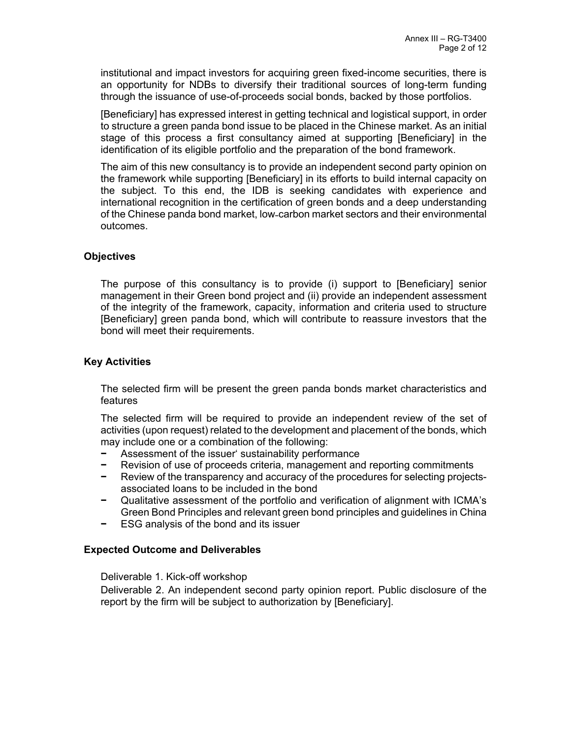institutional and impact investors for acquiring green fixed-income securities, there is an opportunity for NDBs to diversify their traditional sources of long-term funding through the issuance of use-of-proceeds social bonds, backed by those portfolios.

[Beneficiary] has expressed interest in getting technical and logistical support, in order to structure a green panda bond issue to be placed in the Chinese market. As an initial stage of this process a first consultancy aimed at supporting [Beneficiary] in the identification of its eligible portfolio and the preparation of the bond framework.

The aim of this new consultancy is to provide an independent second party opinion on the framework while supporting [Beneficiary] in its efforts to build internal capacity on the subject. To this end, the IDB is seeking candidates with experience and international recognition in the certification of green bonds and a deep understanding of the Chinese panda bond market, low-carbon market sectors and their environmental outcomes.

# **Objectives**

The purpose of this consultancy is to provide (i) support to [Beneficiary] senior management in their Green bond project and (ii) provide an independent assessment of the integrity of the framework, capacity, information and criteria used to structure [Beneficiary] green panda bond, which will contribute to reassure investors that the bond will meet their requirements.

# **Key Activities**

The selected firm will be present the green panda bonds market characteristics and features

The selected firm will be required to provide an independent review of the set of activities (upon request) related to the development and placement of the bonds, which may include one or a combination of the following:

- **−** Assessment of the issuer' sustainability performance
- **−** Revision of use of proceeds criteria, management and reporting commitments
- **−** Review of the transparency and accuracy of the procedures for selecting projectsassociated loans to be included in the bond
- **−** Qualitative assessment of the portfolio and verification of alignment with ICMA's Green Bond Principles and relevant green bond principles and guidelines in China
- **−** ESG analysis of the bond and its issuer

# **Expected Outcome and Deliverables**

## Deliverable 1. Kick-off workshop

Deliverable 2. An independent second party opinion report. Public disclosure of the report by the firm will be subject to authorization by [Beneficiary].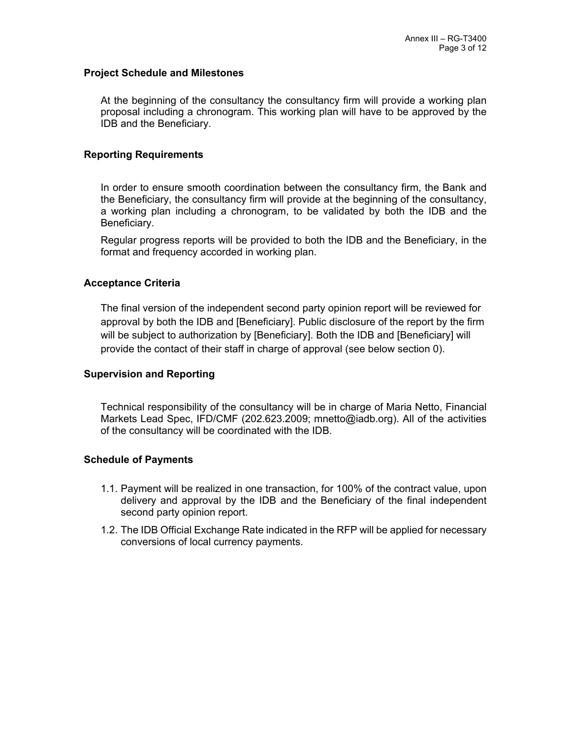#### **Project Schedule and Milestones**

At the beginning of the consultancy the consultancy firm will provide a working plan proposal including a chronogram. This working plan will have to be approved by the IDB and the Beneficiary.

#### **Reporting Requirements**

In order to ensure smooth coordination between the consultancy firm, the Bank and the Beneficiary, the consultancy firm will provide at the beginning of the consultancy, a working plan including a chronogram, to be validated by both the IDB and the Beneficiary.

Regular progress reports will be provided to both the IDB and the Beneficiary, in the format and frequency accorded in working plan.

#### **Acceptance Criteria**

The final version of the independent second party opinion report will be reviewed for approval by both the IDB and [Beneficiary]. Public disclosure of the report by the firm will be subject to authorization by [Beneficiary]. Both the IDB and [Beneficiary] will provide the contact of their staff in charge of approval (see below section [0\)](#page-2-0).

## <span id="page-2-0"></span>**Supervision and Reporting**

Technical responsibility of the consultancy will be in charge of Maria Netto, Financial Markets Lead Spec, IFD/CMF (202.623.2009; mnetto@iadb.org). All of the activities of the consultancy will be coordinated with the IDB.

## **Schedule of Payments**

- 1.1. Payment will be realized in one transaction, for 100% of the contract value, upon delivery and approval by the IDB and the Beneficiary of the final independent second party opinion report.
- 1.2. The IDB Official Exchange Rate indicated in the RFP will be applied for necessary conversions of local currency payments.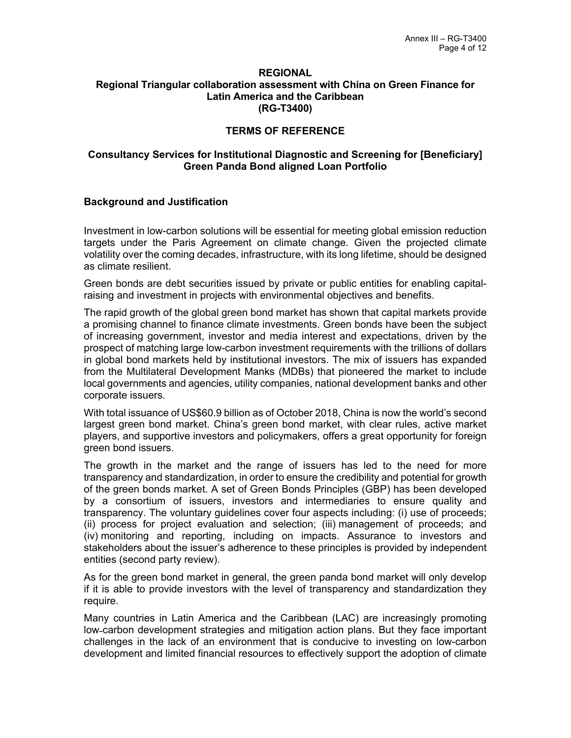#### **REGIONAL Regional Triangular collaboration assessment with China on Green Finance for Latin America and the Caribbean (RG-T3400)**

# **TERMS OF REFERENCE**

# **Consultancy Services for Institutional Diagnostic and Screening for [Beneficiary] Green Panda Bond aligned Loan Portfolio**

## **Background and Justification**

Investment in low-carbon solutions will be essential for meeting global emission reduction targets under the Paris Agreement on climate change. Given the projected climate volatility over the coming decades, infrastructure, with its long lifetime, should be designed as climate resilient.

Green bonds are debt securities issued by private or public entities for enabling capitalraising and investment in projects with environmental objectives and benefits.

The rapid growth of the global green bond market has shown that capital markets provide a promising channel to finance climate investments. Green bonds have been the subject of increasing government, investor and media interest and expectations, driven by the prospect of matching large low-carbon investment requirements with the trillions of dollars in global bond markets held by institutional investors. The mix of issuers has expanded from the Multilateral Development Manks (MDBs) that pioneered the market to include local governments and agencies, utility companies, national development banks and other corporate issuers.

With total issuance of US\$60.9 billion as of October 2018, China is now the world's second largest green bond market. China's green bond market, with clear rules, active market players, and supportive investors and policymakers, offers a great opportunity for foreign green bond issuers.

The growth in the market and the range of issuers has led to the need for more transparency and standardization, in order to ensure the credibility and potential for growth of the green bonds market. A set of Green Bonds Principles (GBP) has been developed by a consortium of issuers, investors and intermediaries to ensure quality and transparency. The voluntary guidelines cover four aspects including: (i) use of proceeds; (ii) process for project evaluation and selection; (iii) management of proceeds; and (iv) monitoring and reporting, including on impacts. Assurance to investors and stakeholders about the issuer's adherence to these principles is provided by independent entities (second party review).

As for the green bond market in general, the green panda bond market will only develop if it is able to provide investors with the level of transparency and standardization they require.

Many countries in Latin America and the Caribbean (LAC) are increasingly promoting low-carbon development strategies and mitigation action plans. But they face important challenges in the lack of an environment that is conducive to investing on low-carbon development and limited financial resources to effectively support the adoption of climate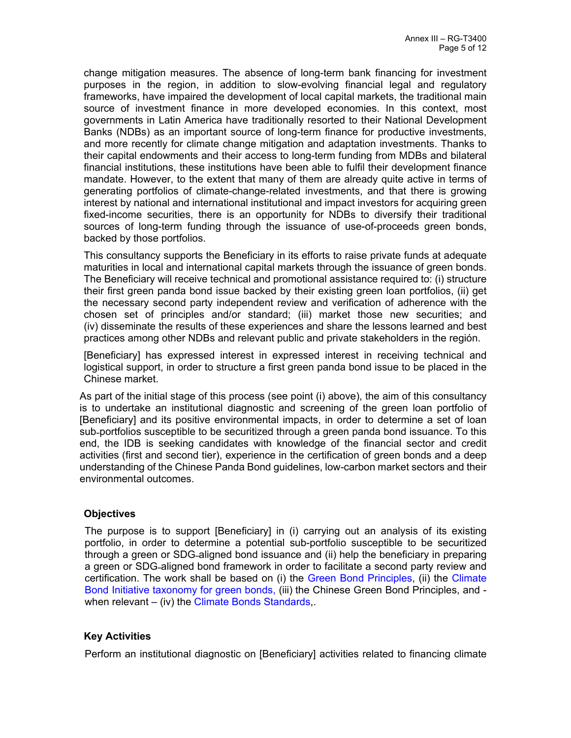change mitigation measures. The absence of long-term bank financing for investment purposes in the region, in addition to slow-evolving financial legal and regulatory frameworks, have impaired the development of local capital markets, the traditional main source of investment finance in more developed economies. In this context, most governments in Latin America have traditionally resorted to their National Development Banks (NDBs) as an important source of long-term finance for productive investments, and more recently for climate change mitigation and adaptation investments. Thanks to their capital endowments and their access to long-term funding from MDBs and bilateral financial institutions, these institutions have been able to fulfil their development finance mandate. However, to the extent that many of them are already quite active in terms of generating portfolios of climate-change-related investments, and that there is growing interest by national and international institutional and impact investors for acquiring green fixed-income securities, there is an opportunity for NDBs to diversify their traditional sources of long-term funding through the issuance of use-of-proceeds green bonds, backed by those portfolios.

This consultancy supports the Beneficiary in its efforts to raise private funds at adequate maturities in local and international capital markets through the issuance of green bonds. The Beneficiary will receive technical and promotional assistance required to: (i) structure their first green panda bond issue backed by their existing green loan portfolios, (ii) get the necessary second party independent review and verification of adherence with the chosen set of principles and/or standard; (iii) market those new securities; and (iv) disseminate the results of these experiences and share the lessons learned and best practices among other NDBs and relevant public and private stakeholders in the región.

[Beneficiary] has expressed interest in expressed interest in receiving technical and logistical support, in order to structure a first green panda bond issue to be placed in the Chinese market.

As part of the initial stage of this process (see point (i) above), the aim of this consultancy is to undertake an institutional diagnostic and screening of the green loan portfolio of [Beneficiary] and its positive environmental impacts, in order to determine a set of loan sub-portfolios susceptible to be securitized through a green panda bond issuance. To this end, the IDB is seeking candidates with knowledge of the financial sector and credit activities (first and second tier), experience in the certification of green bonds and a deep understanding of the Chinese Panda Bond guidelines, low-carbon market sectors and their environmental outcomes.

# **Objectives**

The purpose is to support [Beneficiary] in (i) carrying out an analysis of its existing portfolio, in order to determine a potential sub-portfolio susceptible to be securitized through a green or SDG-aligned bond issuance and (ii) help the beneficiary in preparing a green or SDG-aligned bond framework in order to facilitate a second party review and certification. The work shall be based on (i) the [Green Bond Principles](http://www.icmagroup.org/Regulatory-Policy-and-Market-Practice/green-bonds/green-bond-principles/), (ii) the [Climate](https://www.climatebonds.net/standards/taxonomy)  [Bond Initiative taxonomy for green bonds,](https://www.climatebonds.net/standards/taxonomy) (iii) the Chinese Green Bond Principles, and - when relevant – (iv) the [Climate Bonds Standards](https://www.climatebonds.net/standards),

# **Key Activities**

Perform an institutional diagnostic on [Beneficiary] activities related to financing climate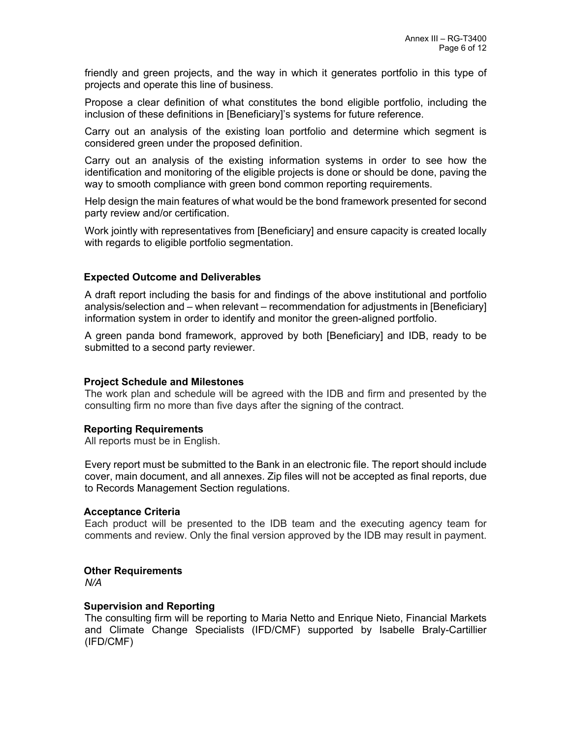friendly and green projects, and the way in which it generates portfolio in this type of projects and operate this line of business.

Propose a clear definition of what constitutes the bond eligible portfolio, including the inclusion of these definitions in [Beneficiary]'s systems for future reference.

Carry out an analysis of the existing loan portfolio and determine which segment is considered green under the proposed definition.

Carry out an analysis of the existing information systems in order to see how the identification and monitoring of the eligible projects is done or should be done, paving the way to smooth compliance with green bond common reporting requirements.

Help design the main features of what would be the bond framework presented for second party review and/or certification.

Work jointly with representatives from [Beneficiary] and ensure capacity is created locally with regards to eligible portfolio segmentation.

## **Expected Outcome and Deliverables**

A draft report including the basis for and findings of the above institutional and portfolio analysis/selection and – when relevant – recommendation for adjustments in [Beneficiary] information system in order to identify and monitor the green-aligned portfolio.

A green panda bond framework, approved by both [Beneficiary] and IDB, ready to be submitted to a second party reviewer.

## **Project Schedule and Milestones**

The work plan and schedule will be agreed with the IDB and firm and presented by the consulting firm no more than five days after the signing of the contract.

## **Reporting Requirements**

All reports must be in English.

Every report must be submitted to the Bank in an electronic file. The report should include cover, main document, and all annexes. Zip files will not be accepted as final reports, due to Records Management Section regulations.

## **Acceptance Criteria**

Each product will be presented to the IDB team and the executing agency team for comments and review. Only the final version approved by the IDB may result in payment.

## **Other Requirements**

*N/A*

## **Supervision and Reporting**

The consulting firm will be reporting to Maria Netto and Enrique Nieto, Financial Markets and Climate Change Specialists (IFD/CMF) supported by Isabelle Braly-Cartillier (IFD/CMF)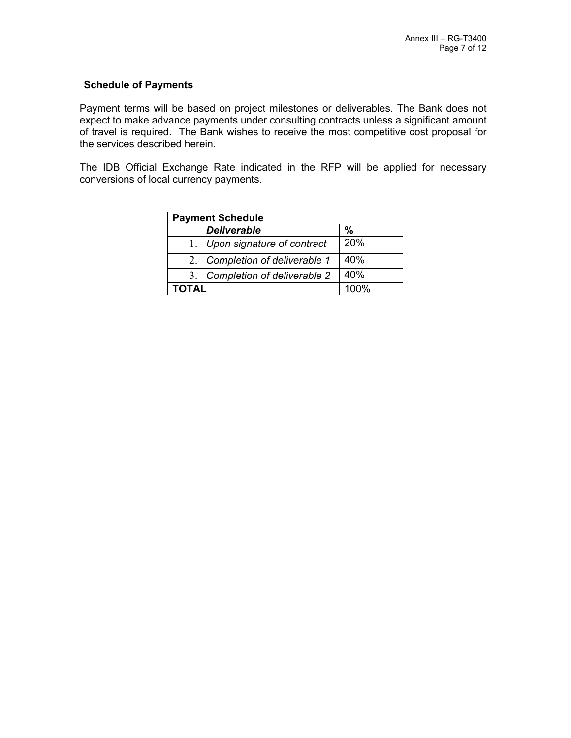# **Schedule of Payments**

Payment terms will be based on project milestones or deliverables. The Bank does not expect to make advance payments under consulting contracts unless a significant amount of travel is required. The Bank wishes to receive the most competitive cost proposal for the services described herein.

The IDB Official Exchange Rate indicated in the RFP will be applied for necessary conversions of local currency payments.

| <b>Payment Schedule</b>        |      |
|--------------------------------|------|
| <b>Deliverable</b>             | %    |
| 1. Upon signature of contract  | 20%  |
| 2. Completion of deliverable 1 | 40%  |
| 3. Completion of deliverable 2 | 40%  |
| ΤΟΤΑL                          | 100% |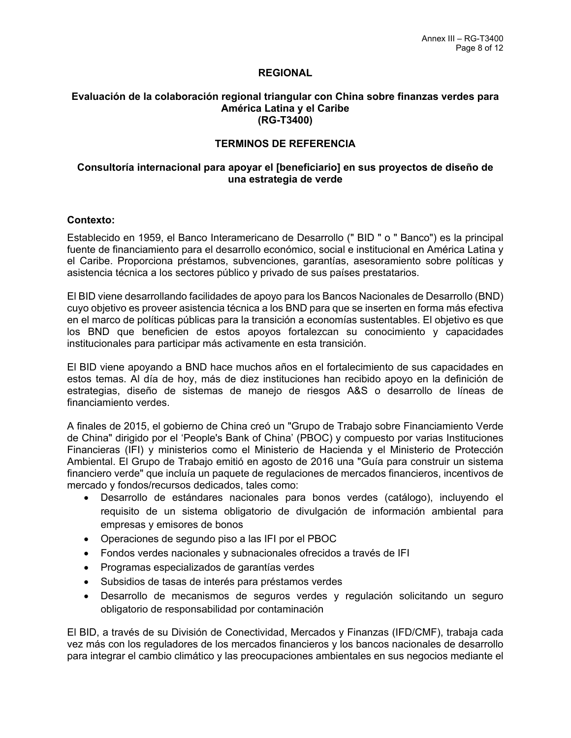## **REGIONAL**

#### **Evaluación de la colaboración regional triangular con China sobre finanzas verdes para América Latina y el Caribe (RG-T3400)**

## **TERMINOS DE REFERENCIA**

## **Consultoría internacional para apoyar el [beneficiario] en sus proyectos de diseño de una estrategia de verde**

#### **Contexto:**

Establecido en 1959, el Banco Interamericano de Desarrollo (" BID " o " Banco") es la principal fuente de financiamiento para el desarrollo económico, social e institucional en América Latina y el Caribe. Proporciona préstamos, subvenciones, garantías, asesoramiento sobre políticas y asistencia técnica a los sectores público y privado de sus países prestatarios.

El BID viene desarrollando facilidades de apoyo para los Bancos Nacionales de Desarrollo (BND) cuyo objetivo es proveer asistencia técnica a los BND para que se inserten en forma más efectiva en el marco de políticas públicas para la transición a economías sustentables. El objetivo es que los BND que beneficien de estos apoyos fortalezcan su conocimiento y capacidades institucionales para participar más activamente en esta transición.

El BID viene apoyando a BND hace muchos años en el fortalecimiento de sus capacidades en estos temas. Al día de hoy, más de diez instituciones han recibido apoyo en la definición de estrategias, diseño de sistemas de manejo de riesgos A&S o desarrollo de líneas de financiamiento verdes.

A finales de 2015, el gobierno de China creó un "Grupo de Trabajo sobre Financiamiento Verde de China" dirigido por el 'People's Bank of China' (PBOC) y compuesto por varias Instituciones Financieras (IFI) y ministerios como el Ministerio de Hacienda y el Ministerio de Protección Ambiental. El Grupo de Trabajo emitió en agosto de 2016 una "Guía para construir un sistema financiero verde" que incluía un paquete de regulaciones de mercados financieros, incentivos de mercado y fondos/recursos dedicados, tales como:

- Desarrollo de estándares nacionales para bonos verdes (catálogo), incluyendo el requisito de un sistema obligatorio de divulgación de información ambiental para empresas y emisores de bonos
- Operaciones de segundo piso a las IFI por el PBOC
- Fondos verdes nacionales y subnacionales ofrecidos a través de IFI
- Programas especializados de garantías verdes
- Subsidios de tasas de interés para préstamos verdes
- Desarrollo de mecanismos de seguros verdes y regulación solicitando un seguro obligatorio de responsabilidad por contaminación

El BID, a través de su División de Conectividad, Mercados y Finanzas (IFD/CMF), trabaja cada vez más con los reguladores de los mercados financieros y los bancos nacionales de desarrollo para integrar el cambio climático y las preocupaciones ambientales en sus negocios mediante el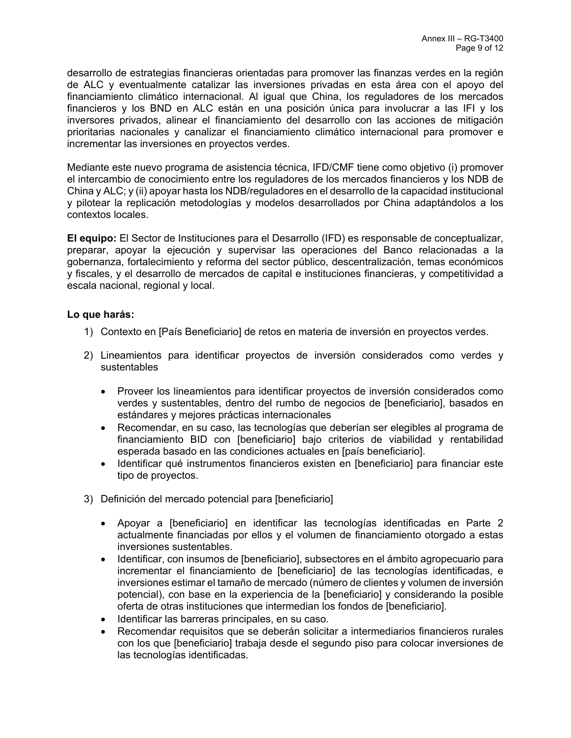desarrollo de estrategias financieras orientadas para promover las finanzas verdes en la región de ALC y eventualmente catalizar las inversiones privadas en esta área con el apoyo del financiamiento climático internacional. Al igual que China, los reguladores de los mercados financieros y los BND en ALC están en una posición única para involucrar a las IFI y los inversores privados, alinear el financiamiento del desarrollo con las acciones de mitigación prioritarias nacionales y canalizar el financiamiento climático internacional para promover e incrementar las inversiones en proyectos verdes.

Mediante este nuevo programa de asistencia técnica, IFD/CMF tiene como objetivo (i) promover el intercambio de conocimiento entre los reguladores de los mercados financieros y los NDB de China y ALC; y (ii) apoyar hasta los NDB/reguladores en el desarrollo de la capacidad institucional y pilotear la replicación metodologías y modelos desarrollados por China adaptándolos a los contextos locales.

**El equipo:** El Sector de Instituciones para el Desarrollo (IFD) es responsable de conceptualizar, preparar, apoyar la ejecución y supervisar las operaciones del Banco relacionadas a la gobernanza, fortalecimiento y reforma del sector público, descentralización, temas económicos y fiscales, y el desarrollo de mercados de capital e instituciones financieras, y competitividad a escala nacional, regional y local.

# **Lo que harás:**

- 1) Contexto en [País Beneficiario] de retos en materia de inversión en proyectos verdes.
- 2) Lineamientos para identificar proyectos de inversión considerados como verdes y sustentables
	- Proveer los lineamientos para identificar proyectos de inversión considerados como verdes y sustentables, dentro del rumbo de negocios de [beneficiario], basados en estándares y mejores prácticas internacionales
	- Recomendar, en su caso, las tecnologías que deberían ser elegibles al programa de financiamiento BID con [beneficiario] bajo criterios de viabilidad y rentabilidad esperada basado en las condiciones actuales en [país beneficiario].
	- Identificar qué instrumentos financieros existen en [beneficiario] para financiar este tipo de proyectos.
- 3) Definición del mercado potencial para [beneficiario]
	- Apoyar a [beneficiario] en identificar las tecnologías identificadas en Parte 2 actualmente financiadas por ellos y el volumen de financiamiento otorgado a estas inversiones sustentables.
	- Identificar, con insumos de [beneficiario], subsectores en el ámbito agropecuario para incrementar el financiamiento de [beneficiario] de las tecnologías identificadas, e inversiones estimar el tamaño de mercado (número de clientes y volumen de inversión potencial), con base en la experiencia de la [beneficiario] y considerando la posible oferta de otras instituciones que intermedian los fondos de [beneficiario].
	- Identificar las barreras principales, en su caso.
	- Recomendar requisitos que se deberán solicitar a intermediarios financieros rurales con los que [beneficiario] trabaja desde el segundo piso para colocar inversiones de las tecnologías identificadas.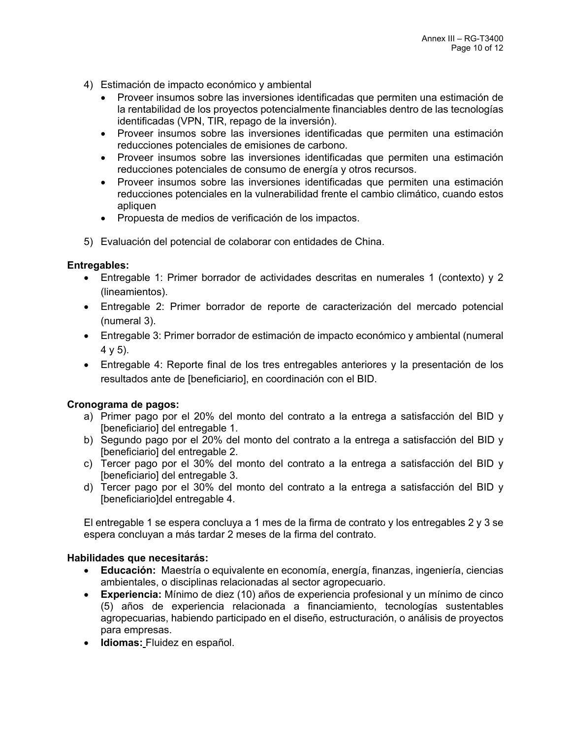- 4) Estimación de impacto económico y ambiental
	- Proveer insumos sobre las inversiones identificadas que permiten una estimación de la rentabilidad de los proyectos potencialmente financiables dentro de las tecnologías identificadas (VPN, TIR, repago de la inversión).
	- Proveer insumos sobre las inversiones identificadas que permiten una estimación reducciones potenciales de emisiones de carbono.
	- Proveer insumos sobre las inversiones identificadas que permiten una estimación reducciones potenciales de consumo de energía y otros recursos.
	- Proveer insumos sobre las inversiones identificadas que permiten una estimación reducciones potenciales en la vulnerabilidad frente el cambio climático, cuando estos apliquen
	- Propuesta de medios de verificación de los impactos.
- 5) Evaluación del potencial de colaborar con entidades de China.

## **Entregables:**

- Entregable 1: Primer borrador de actividades descritas en numerales 1 (contexto) y 2 (lineamientos).
- Entregable 2: Primer borrador de reporte de caracterización del mercado potencial (numeral 3).
- Entregable 3: Primer borrador de estimación de impacto económico y ambiental (numeral 4 y 5).
- Entregable 4: Reporte final de los tres entregables anteriores y la presentación de los resultados ante de [beneficiario], en coordinación con el BID.

# **Cronograma de pagos:**

- a) Primer pago por el 20% del monto del contrato a la entrega a satisfacción del BID y [beneficiario] del entregable 1.
- b) Segundo pago por el 20% del monto del contrato a la entrega a satisfacción del BID y [beneficiario] del entregable 2.
- c) Tercer pago por el 30% del monto del contrato a la entrega a satisfacción del BID y [beneficiario] del entregable 3.
- d) Tercer pago por el 30% del monto del contrato a la entrega a satisfacción del BID y [beneficiario]del entregable 4.

El entregable 1 se espera concluya a 1 mes de la firma de contrato y los entregables 2 y 3 se espera concluyan a más tardar 2 meses de la firma del contrato.

# **Habilidades que necesitarás:**

- **Educación:** Maestría o equivalente en economía, energía, finanzas, ingeniería, ciencias ambientales, o disciplinas relacionadas al sector agropecuario.
- **Experiencia:** Mínimo de diez (10) años de experiencia profesional y un mínimo de cinco (5) años de experiencia relacionada a financiamiento, tecnologías sustentables agropecuarias, habiendo participado en el diseño, estructuración, o análisis de proyectos para empresas.
- **Idiomas:** Fluidez en español.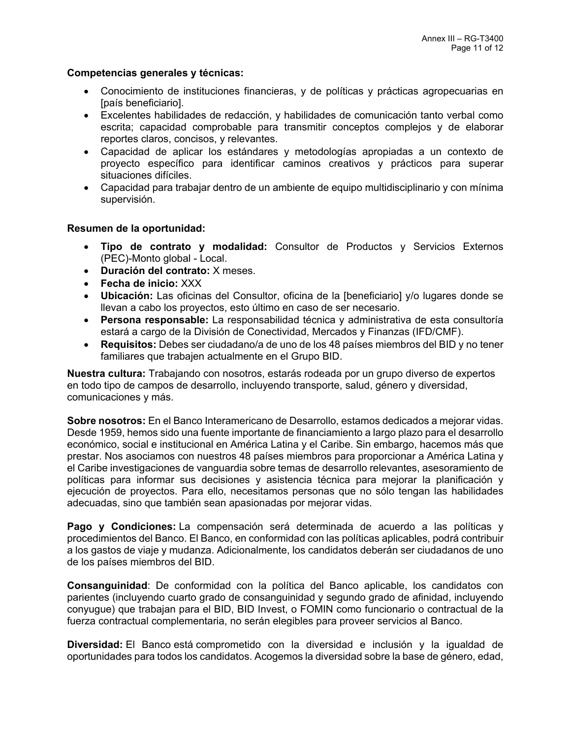## **Competencias generales y técnicas:**

- Conocimiento de instituciones financieras, y de políticas y prácticas agropecuarias en [país beneficiario].
- Excelentes habilidades de redacción, y habilidades de comunicación tanto verbal como escrita; capacidad comprobable para transmitir conceptos complejos y de elaborar reportes claros, concisos, y relevantes.
- Capacidad de aplicar los estándares y metodologías apropiadas a un contexto de proyecto específico para identificar caminos creativos y prácticos para superar situaciones difíciles.
- Capacidad para trabajar dentro de un ambiente de equipo multidisciplinario y con mínima supervisión.

# **Resumen de la oportunidad:**

- **Tipo de contrato y modalidad:** Consultor de Productos y Servicios Externos (PEC)-Monto global - Local.
- **Duración del contrato:** X meses.
- **Fecha de inicio:** XXX
- **Ubicación:** Las oficinas del Consultor, oficina de la [beneficiario] y/o lugares donde se llevan a cabo los proyectos, esto último en caso de ser necesario.
- **Persona responsable:** La responsabilidad técnica y administrativa de esta consultoría estará a cargo de la División de Conectividad, Mercados y Finanzas (IFD/CMF).
- **Requisitos:** Debes ser ciudadano/a de uno de los [48 países miembros del BID](http://www.iadb.org/es/acerca-de-nosotros/como-esta-organizado-el-banco-interamericano-de-desarrollo-,5998.html?open_accordion=9) y no tener familiares que trabajen actualmente en el Grupo BID.

**Nuestra cultura:** Trabajando con nosotros, estarás rodeada por un grupo diverso de expertos en todo tipo de campos de desarrollo, incluyendo transporte, salud, género y diversidad, comunicaciones y más.

**Sobre nosotros:** En el Banco Interamericano de Desarrollo, estamos dedicados a mejorar vidas. Desde 1959, hemos sido una fuente importante de financiamiento a largo plazo para el desarrollo económico, social e institucional en América Latina y el Caribe. Sin embargo, hacemos más que prestar. Nos asociamos con nuestros 48 países miembros para proporcionar a América Latina y el Caribe investigaciones de vanguardia sobre temas de desarrollo relevantes, asesoramiento de políticas para informar sus decisiones y asistencia técnica para mejorar la planificación y ejecución de proyectos. Para ello, necesitamos personas que no sólo tengan las habilidades adecuadas, sino que también sean apasionadas por mejorar vidas.

**Pago y Condiciones:** La compensación será determinada de acuerdo a las políticas y procedimientos del Banco. El Banco, en conformidad con las políticas aplicables, podrá contribuir a los gastos de viaje y mudanza. Adicionalmente, los candidatos deberán ser ciudadanos de uno de los países miembros del BID.

**Consanguinidad**: De conformidad con la política del Banco aplicable, los candidatos con parientes (incluyendo cuarto grado de consanguinidad y segundo grado de afinidad, incluyendo conyugue) que trabajan para el BID, BID Invest, o FOMIN como funcionario o contractual de la fuerza contractual complementaria, no serán elegibles para proveer servicios al Banco.

**Diversidad:** El Banco está comprometido con la diversidad e inclusión y la igualdad de oportunidades para todos los candidatos. Acogemos la diversidad sobre la base de género, edad,